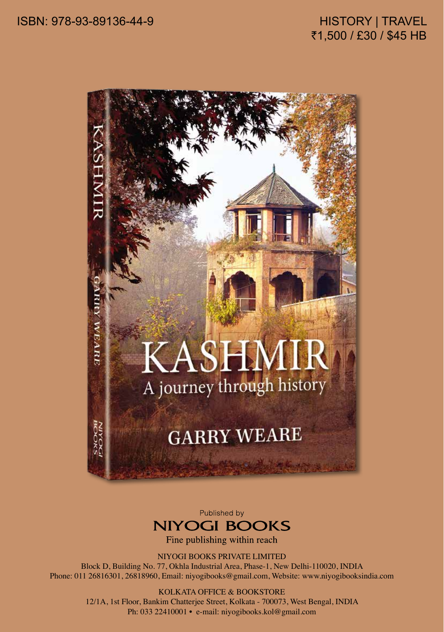## HISTORY | TRAVEL ₹1,500 / £30 / \$45 HB



Published by



Fine publishing within reach

NIYOGI BOOKS PRIVATE LIMITED

Block D, Building No. 77, Okhla Industrial Area, Phase-1, New Delhi-110020, INDIA Phone: 011 26816301, 26818960, Email: niyogibooks@gmail.com, Website: www.niyogibooksindia.com

## KOLKATA OFFICE & BOOKSTORE

12/1A, 1st Floor, Bankim Chatterjee Street, Kolkata - 700073, West Bengal, INDIA Ph: 033 22410001 • e-mail: niyogibooks.kol@gmail.com